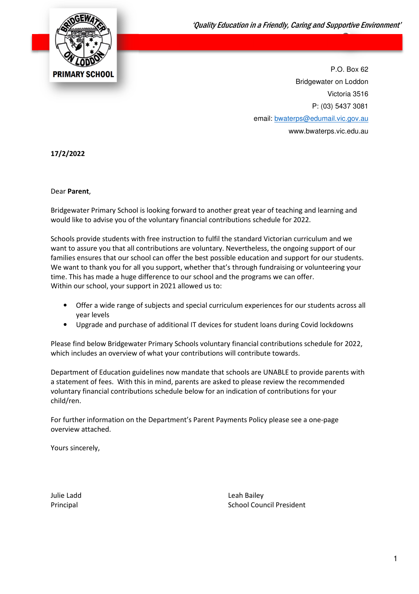

P.O. Box 62 Bridgewater on Loddon Victoria 3516 P: (03) 5437 3081 email: bwaterps@edumail.vic.gov.au www.bwaterps.vic.edu.au

17/2/2022

#### Dear Parent,

Bridgewater Primary School is looking forward to another great year of teaching and learning and would like to advise you of the voluntary financial contributions schedule for 2022.

Schools provide students with free instruction to fulfil the standard Victorian curriculum and we want to assure you that all contributions are voluntary. Nevertheless, the ongoing support of our families ensures that our school can offer the best possible education and support for our students. We want to thank you for all you support, whether that's through fundraising or volunteering your time. This has made a huge difference to our school and the programs we can offer. Within our school, your support in 2021 allowed us to:

- Offer a wide range of subjects and special curriculum experiences for our students across all year levels
- Upgrade and purchase of additional IT devices for student loans during Covid lockdowns

Please find below Bridgewater Primary Schools voluntary financial contributions schedule for 2022, which includes an overview of what your contributions will contribute towards.

Department of Education guidelines now mandate that schools are UNABLE to provide parents with a statement of fees. With this in mind, parents are asked to please review the recommended voluntary financial contributions schedule below for an indication of contributions for your child/ren.

For further information on the Department's Parent Payments Policy please see a one-page overview attached.

Yours sincerely,

Julie Ladd Leah Bailey Principal **School Council President** School Council President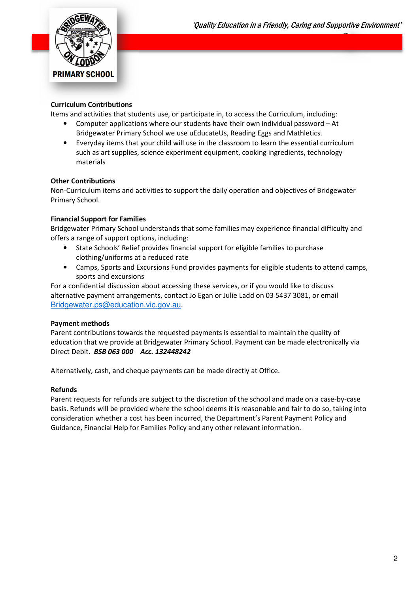

#### Curriculum Contributions

Items and activities that students use, or participate in, to access the Curriculum, including:

- Computer applications where our students have their own individual password At Bridgewater Primary School we use uEducateUs, Reading Eggs and Mathletics.
- Everyday items that your child will use in the classroom to learn the essential curriculum such as art supplies, science experiment equipment, cooking ingredients, technology materials

#### Other Contributions

Non-Curriculum items and activities to support the daily operation and objectives of Bridgewater Primary School.

#### Financial Support for Families

Bridgewater Primary School understands that some families may experience financial difficulty and offers a range of support options, including:

- State Schools' Relief provides financial support for eligible families to purchase clothing/uniforms at a reduced rate
- Camps, Sports and Excursions Fund provides payments for eligible students to attend camps, sports and excursions

For a confidential discussion about accessing these services, or if you would like to discuss alternative payment arrangements, contact Jo Egan or Julie Ladd on 03 5437 3081, or email Bridgewater.ps@education.vic.gov.au.

#### Payment methods

Parent contributions towards the requested payments is essential to maintain the quality of education that we provide at Bridgewater Primary School. Payment can be made electronically via Direct Debit. BSB 063 000 Acc. 132448242

Alternatively, cash, and cheque payments can be made directly at Office.

#### Refunds

Parent requests for refunds are subject to the discretion of the school and made on a case-by-case basis. Refunds will be provided where the school deems it is reasonable and fair to do so, taking into consideration whether a cost has been incurred, the Department's Parent Payment Policy and Guidance, Financial Help for Families Policy and any other relevant information.